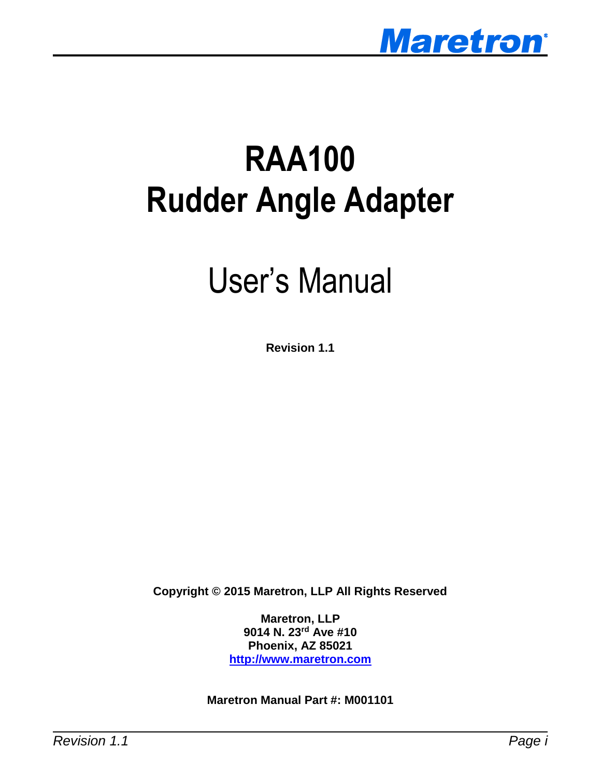

# **RAA100 Rudder Angle Adapter**

# User's Manual

**Revision 1.1**

**Copyright © 2015 Maretron, LLP All Rights Reserved**

**Maretron, LLP 9014 N. 23rd Ave #10 Phoenix, AZ 85021 [http://www.maretron.com](http://www.maretron.com/)**

**Maretron Manual Part #: M001101**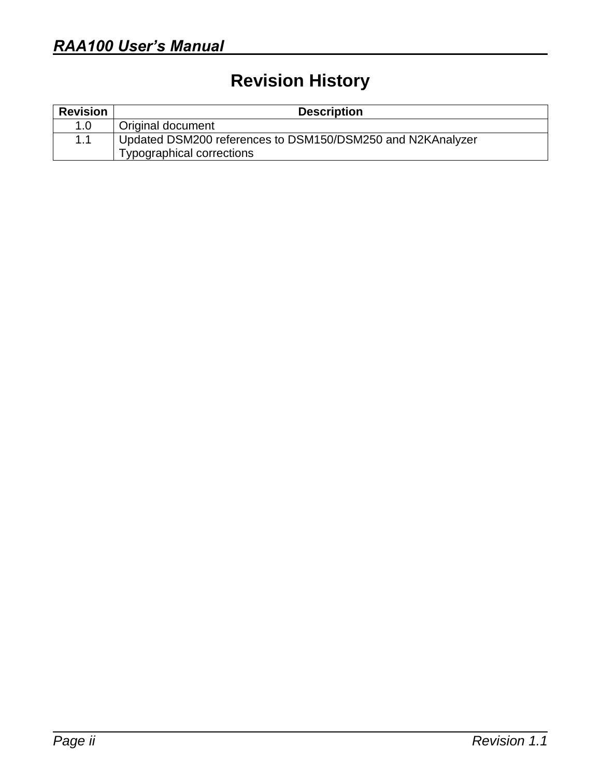# **Revision History**

| <b>Revision</b> | <b>Description</b>                                         |
|-----------------|------------------------------------------------------------|
| 1.0             | <b>Original document</b>                                   |
| 1.1             | Updated DSM200 references to DSM150/DSM250 and N2KAnalyzer |
|                 | <b>Typographical corrections</b>                           |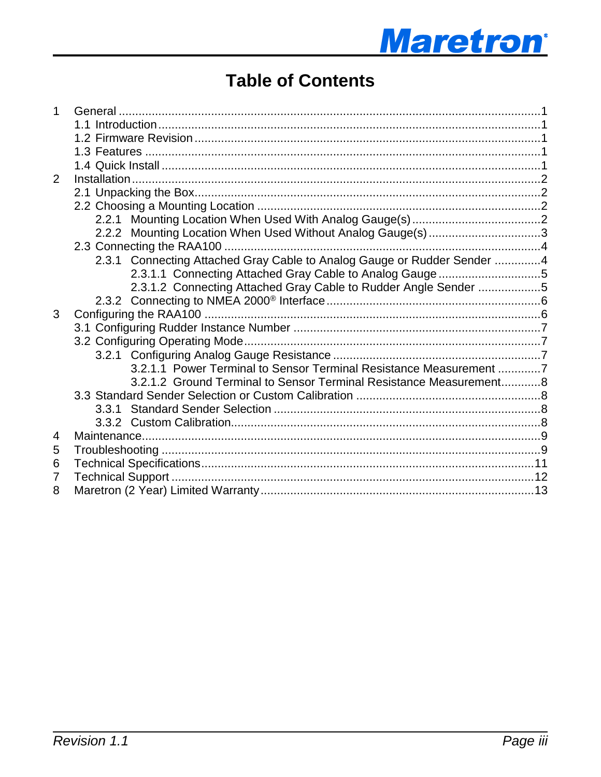

# **Table of Contents**

| $\mathbf{1}$   |                                                                         |  |
|----------------|-------------------------------------------------------------------------|--|
|                |                                                                         |  |
|                |                                                                         |  |
|                |                                                                         |  |
|                |                                                                         |  |
| $\overline{2}$ |                                                                         |  |
|                |                                                                         |  |
|                |                                                                         |  |
|                |                                                                         |  |
|                | 2.2.2 Mounting Location When Used Without Analog Gauge(s) 3             |  |
|                |                                                                         |  |
|                | 2.3.1 Connecting Attached Gray Cable to Analog Gauge or Rudder Sender 4 |  |
|                |                                                                         |  |
|                | 2.3.1.2 Connecting Attached Gray Cable to Rudder Angle Sender 5         |  |
|                |                                                                         |  |
| 3              |                                                                         |  |
|                |                                                                         |  |
|                |                                                                         |  |
|                |                                                                         |  |
|                | 3.2.1.1 Power Terminal to Sensor Terminal Resistance Measurement 7      |  |
|                | 3.2.1.2 Ground Terminal to Sensor Terminal Resistance Measurement8      |  |
|                |                                                                         |  |
|                |                                                                         |  |
|                |                                                                         |  |
| 4              |                                                                         |  |
| 5              |                                                                         |  |
| 6              |                                                                         |  |
| $\overline{7}$ |                                                                         |  |
| 8              |                                                                         |  |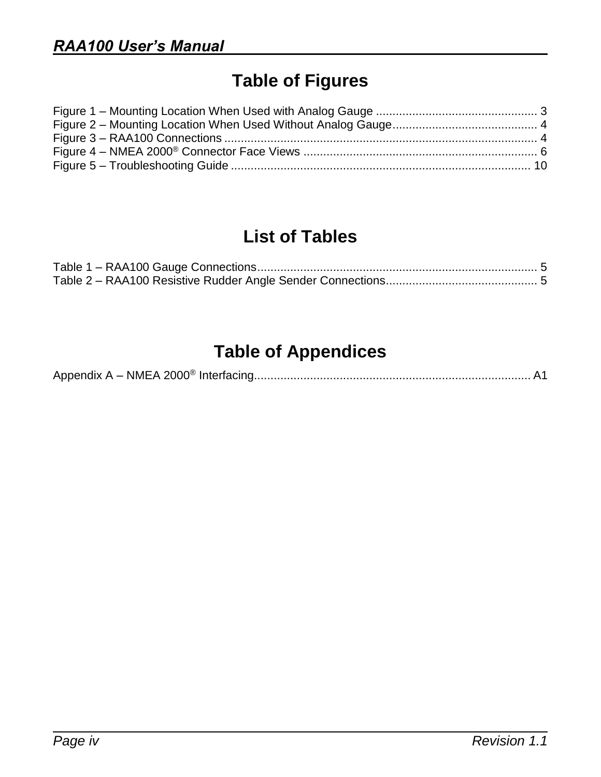# **Table of Figures**

# **List of Tables**

# **Table of Appendices**

|--|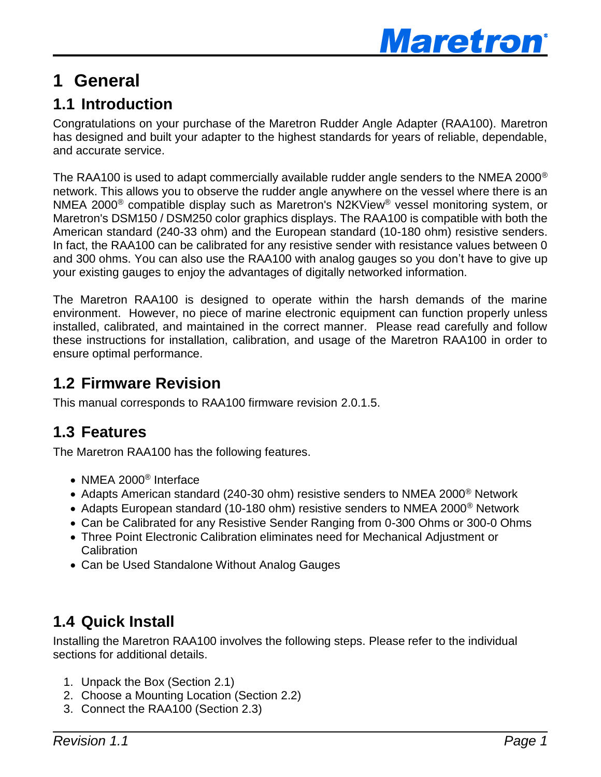

## <span id="page-4-0"></span>**1 General**

## <span id="page-4-1"></span>**1.1 Introduction**

Congratulations on your purchase of the Maretron Rudder Angle Adapter (RAA100). Maretron has designed and built your adapter to the highest standards for years of reliable, dependable, and accurate service.

The RAA100 is used to adapt commercially available rudder angle senders to the NMEA 2000® network. This allows you to observe the rudder angle anywhere on the vessel where there is an NMEA 2000® compatible display such as Maretron's N2KView® vessel monitoring system, or Maretron's DSM150 / DSM250 color graphics displays. The RAA100 is compatible with both the American standard (240-33 ohm) and the European standard (10-180 ohm) resistive senders. In fact, the RAA100 can be calibrated for any resistive sender with resistance values between 0 and 300 ohms. You can also use the RAA100 with analog gauges so you don't have to give up your existing gauges to enjoy the advantages of digitally networked information.

The Maretron RAA100 is designed to operate within the harsh demands of the marine environment. However, no piece of marine electronic equipment can function properly unless installed, calibrated, and maintained in the correct manner. Please read carefully and follow these instructions for installation, calibration, and usage of the Maretron RAA100 in order to ensure optimal performance.

## <span id="page-4-2"></span>**1.2 Firmware Revision**

This manual corresponds to RAA100 firmware revision 2.0.1.5.

## <span id="page-4-3"></span>**1.3 Features**

The Maretron RAA100 has the following features.

- NMEA 2000<sup>®</sup> Interface
- Adapts American standard (240-30 ohm) resistive senders to NMEA 2000<sup>®</sup> Network
- Adapts European standard (10-180 ohm) resistive senders to NMEA 2000<sup>®</sup> Network
- Can be Calibrated for any Resistive Sender Ranging from 0-300 Ohms or 300-0 Ohms
- Three Point Electronic Calibration eliminates need for Mechanical Adjustment or **Calibration**
- Can be Used Standalone Without Analog Gauges

## <span id="page-4-4"></span>**1.4 Quick Install**

Installing the Maretron RAA100 involves the following steps. Please refer to the individual sections for additional details.

- 1. Unpack the Box (Section [2.1\)](#page-5-1)
- 2. Choose a Mounting Location (Section [2.2\)](#page-5-2)
- 3. Connect the RAA100 (Section [2.3\)](#page-7-0)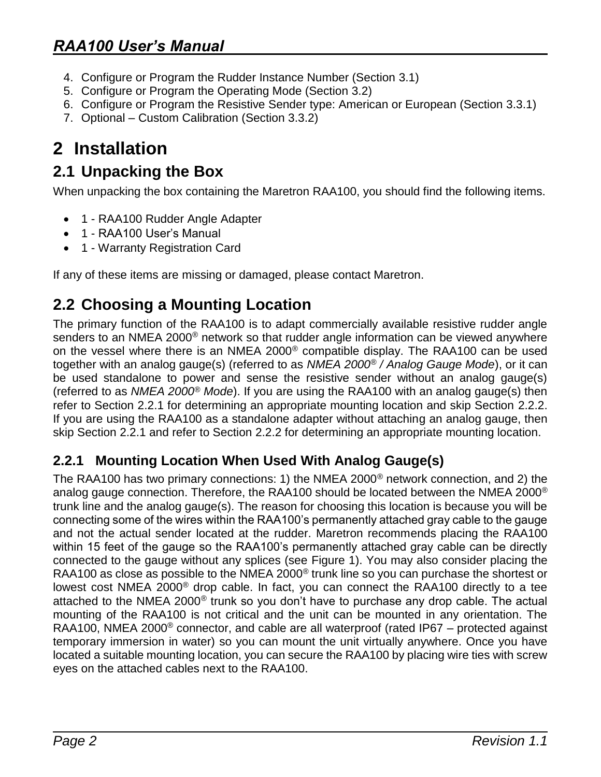- 4. Configure or Program the Rudder Instance Number (Section [3.1\)](#page-10-0)
- 5. Configure or Program the Operating Mode (Section [3.2\)](#page-10-1)
- 6. Configure or Program the Resistive Sender type: American or European (Section [3.3.1\)](#page-11-2)
- 7. Optional Custom Calibration (Section [3.3.2\)](#page-11-3)

## <span id="page-5-0"></span>**2 Installation**

## <span id="page-5-1"></span>**2.1 Unpacking the Box**

When unpacking the box containing the Maretron RAA100, you should find the following items.

- 1 RAA100 Rudder Angle Adapter
- 1 RAA100 User's Manual
- 1 Warranty Registration Card

If any of these items are missing or damaged, please contact Maretron.

## <span id="page-5-2"></span>**2.2 Choosing a Mounting Location**

The primary function of the RAA100 is to adapt commercially available resistive rudder angle senders to an NMEA 2000<sup>®</sup> network so that rudder angle information can be viewed anywhere on the vessel where there is an NMEA 2000® compatible display. The RAA100 can be used together with an analog gauge(s) (referred to as *NMEA 2000® / Analog Gauge Mode*), or it can be used standalone to power and sense the resistive sender without an analog gauge(s) (referred to as *NMEA 2000® Mode*). If you are using the RAA100 with an analog gauge(s) then refer to Section [2.2.1](#page-5-3) for determining an appropriate mounting location and skip Section [2.2.2.](#page-6-0) If you are using the RAA100 as a standalone adapter without attaching an analog gauge, then skip Section [2.2.1](#page-5-3) and refer to Section [2.2.2](#page-6-0) for determining an appropriate mounting location.

### <span id="page-5-3"></span>**2.2.1 Mounting Location When Used With Analog Gauge(s)**

The RAA100 has two primary connections: 1) the NMEA 2000® network connection, and 2) the analog gauge connection. Therefore, the RAA100 should be located between the NMEA 2000® trunk line and the analog gauge(s). The reason for choosing this location is because you will be connecting some of the wires within the RAA100's permanently attached gray cable to the gauge and not the actual sender located at the rudder. Maretron recommends placing the RAA100 within 15 feet of the gauge so the RAA100's permanently attached gray cable can be directly connected to the gauge without any splices (see [Figure 1\)](#page-6-1). You may also consider placing the RAA100 as close as possible to the NMEA 2000<sup>®</sup> trunk line so you can purchase the shortest or lowest cost NMEA 2000<sup>®</sup> drop cable. In fact, you can connect the RAA100 directly to a tee attached to the NMEA 2000® trunk so you don't have to purchase any drop cable. The actual mounting of the RAA100 is not critical and the unit can be mounted in any orientation. The RAA100, NMEA 2000<sup>®</sup> connector, and cable are all waterproof (rated IP67 – protected against temporary immersion in water) so you can mount the unit virtually anywhere. Once you have located a suitable mounting location, you can secure the RAA100 by placing wire ties with screw eyes on the attached cables next to the RAA100.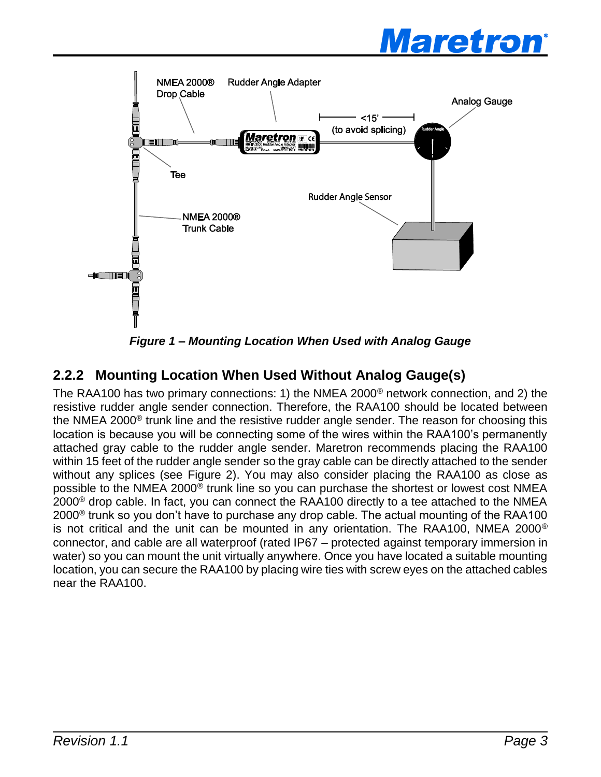



*Figure 1 – Mounting Location When Used with Analog Gauge*

#### <span id="page-6-1"></span><span id="page-6-0"></span>**2.2.2 Mounting Location When Used Without Analog Gauge(s)**

The RAA100 has two primary connections: 1) the NMEA 2000® network connection, and 2) the resistive rudder angle sender connection. Therefore, the RAA100 should be located between the NMEA 2000® trunk line and the resistive rudder angle sender. The reason for choosing this location is because you will be connecting some of the wires within the RAA100's permanently attached gray cable to the rudder angle sender. Maretron recommends placing the RAA100 within 15 feet of the rudder angle sender so the gray cable can be directly attached to the sender without any splices (see [Figure 2\)](#page-7-2). You may also consider placing the RAA100 as close as possible to the NMEA 2000® trunk line so you can purchase the shortest or lowest cost NMEA  $2000^\circ$  drop cable. In fact, you can connect the RAA100 directly to a tee attached to the NMEA  $2000^\circ$  trunk so you don't have to purchase any drop cable. The actual mounting of the RAA100 is not critical and the unit can be mounted in any orientation. The RAA100, NMEA 2000 $^{\circ}$ connector, and cable are all waterproof (rated IP67 – protected against temporary immersion in water) so you can mount the unit virtually anywhere. Once you have located a suitable mounting location, you can secure the RAA100 by placing wire ties with screw eyes on the attached cables near the RAA100.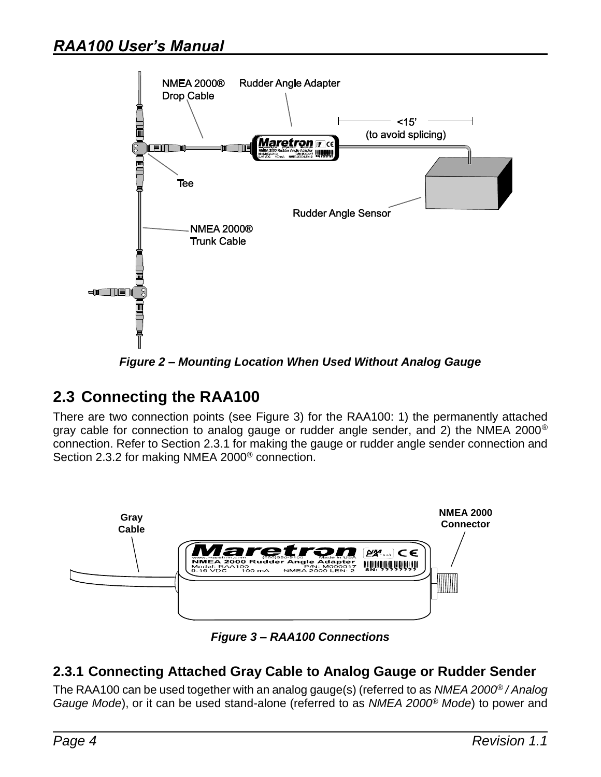

*Figure 2 – Mounting Location When Used Without Analog Gauge*

## <span id="page-7-2"></span><span id="page-7-0"></span>**2.3 Connecting the RAA100**

There are two connection points (see [Figure 3\)](#page-7-3) for the RAA100: 1) the permanently attached gray cable for connection to analog gauge or rudder angle sender, and 2) the NMEA 2000® connection. Refer to Section [2.3.1](#page-7-1) for making the gauge or rudder angle sender connection and Section [2.3.2](#page-9-0) for making NMEA 2000® connection.



*Figure 3 – RAA100 Connections*

### <span id="page-7-3"></span><span id="page-7-1"></span>**2.3.1 Connecting Attached Gray Cable to Analog Gauge or Rudder Sender**

The RAA100 can be used together with an analog gauge(s) (referred to as *NMEA 2000® / Analog Gauge Mode*), or it can be used stand-alone (referred to as *NMEA 2000® Mode*) to power and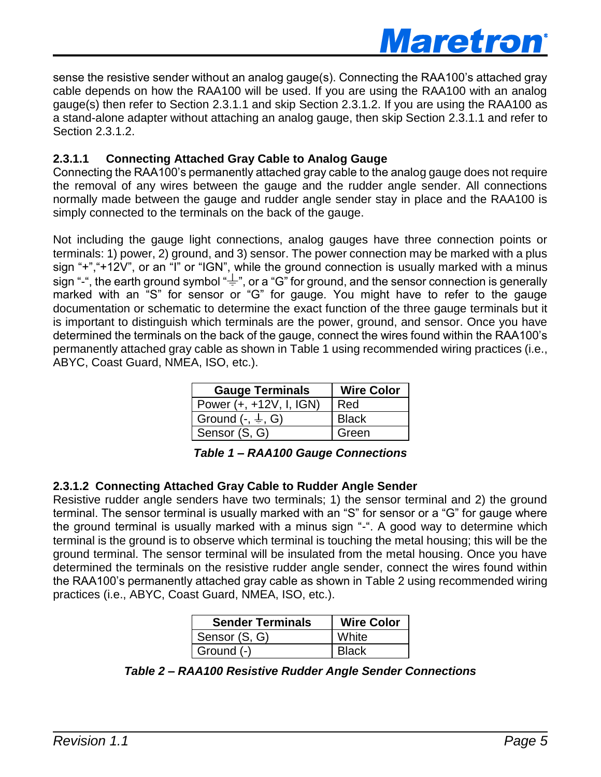

sense the resistive sender without an analog gauge(s). Connecting the RAA100's attached gray cable depends on how the RAA100 will be used. If you are using the RAA100 with an analog gauge(s) then refer to Section [2.3.1.1](#page-8-0) and skip Section [2.3.1.2.](#page-8-1) If you are using the RAA100 as a stand-alone adapter without attaching an analog gauge, then skip Section [2.3.1.1](#page-8-0) and refer to Section [2.3.1.2.](#page-8-1)

#### <span id="page-8-0"></span>**2.3.1.1 Connecting Attached Gray Cable to Analog Gauge**

Connecting the RAA100's permanently attached gray cable to the analog gauge does not require the removal of any wires between the gauge and the rudder angle sender. All connections normally made between the gauge and rudder angle sender stay in place and the RAA100 is simply connected to the terminals on the back of the gauge.

Not including the gauge light connections, analog gauges have three connection points or terminals: 1) power, 2) ground, and 3) sensor. The power connection may be marked with a plus sign "+", "+12V", or an "I" or "IGN", while the ground connection is usually marked with a minus sign "-", the earth ground symbol " $\frac{1}{2}$ ", or a "G" for ground, and the sensor connection is generally marked with an "S" for sensor or "G" for gauge. You might have to refer to the gauge documentation or schematic to determine the exact function of the three gauge terminals but it is important to distinguish which terminals are the power, ground, and sensor. Once you have determined the terminals on the back of the gauge, connect the wires found within the RAA100's permanently attached gray cable as shown in [Table 1](#page-8-2) using recommended wiring practices (i.e., ABYC, Coast Guard, NMEA, ISO, etc.).

| <b>Gauge Terminals</b>  | <b>Wire Color</b> |
|-------------------------|-------------------|
| Power (+, +12V, I, IGN) | Red               |
| Ground $(-, \pm, G)$    | <b>Black</b>      |
| Sensor (S, G)           | Green             |

*Table 1 – RAA100 Gauge Connections*

#### <span id="page-8-2"></span><span id="page-8-1"></span>**2.3.1.2 Connecting Attached Gray Cable to Rudder Angle Sender**

Resistive rudder angle senders have two terminals; 1) the sensor terminal and 2) the ground terminal. The sensor terminal is usually marked with an "S" for sensor or a "G" for gauge where the ground terminal is usually marked with a minus sign "-". A good way to determine which terminal is the ground is to observe which terminal is touching the metal housing; this will be the ground terminal. The sensor terminal will be insulated from the metal housing. Once you have determined the terminals on the resistive rudder angle sender, connect the wires found within the RAA100's permanently attached gray cable as shown in [Table 2](#page-8-3) using recommended wiring practices (i.e., ABYC, Coast Guard, NMEA, ISO, etc.).

| <b>Sender Terminals</b> | <b>Wire Color</b> |
|-------------------------|-------------------|
| Sensor (S, G)           | White             |
| Ground (-)              | <b>Black</b>      |

<span id="page-8-3"></span>*Table 2 – RAA100 Resistive Rudder Angle Sender Connections*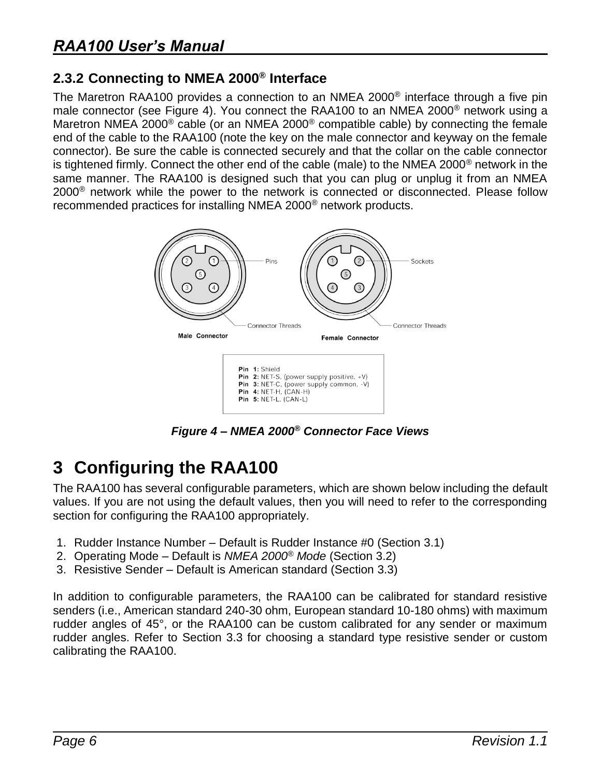#### <span id="page-9-0"></span>**2.3.2 Connecting to NMEA 2000® Interface**

The Maretron RAA100 provides a connection to an NMEA 2000® interface through a five pin male connector (see [Figure 4\)](#page-9-2). You connect the RAA100 to an NMEA 2000® network using a Maretron NMEA 2000® cable (or an NMEA 2000® compatible cable) by connecting the female end of the cable to the RAA100 (note the key on the male connector and keyway on the female connector). Be sure the cable is connected securely and that the collar on the cable connector is tightened firmly. Connect the other end of the cable (male) to the NMEA 2000® network in the same manner. The RAA100 is designed such that you can plug or unplug it from an NMEA 2000<sup>®</sup> network while the power to the network is connected or disconnected. Please follow recommended practices for installing NMEA 2000® network products.



*Figure 4 – NMEA 2000® Connector Face Views*

# <span id="page-9-2"></span><span id="page-9-1"></span>**3 Configuring the RAA100**

The RAA100 has several configurable parameters, which are shown below including the default values. If you are not using the default values, then you will need to refer to the corresponding section for configuring the RAA100 appropriately.

- 1. Rudder Instance Number Default is Rudder Instance #0 (Section [3.1\)](#page-10-0)
- 2. Operating Mode Default is *NMEA 2000® Mode* (Section [3.2\)](#page-10-1)
- 3. Resistive Sender Default is American standard (Section [3.3\)](#page-11-1)

In addition to configurable parameters, the RAA100 can be calibrated for standard resistive senders (i.e., American standard 240-30 ohm, European standard 10-180 ohms) with maximum rudder angles of 45°, or the RAA100 can be custom calibrated for any sender or maximum rudder angles. Refer to Section [3.3](#page-11-1) for choosing a standard type resistive sender or custom calibrating the RAA100.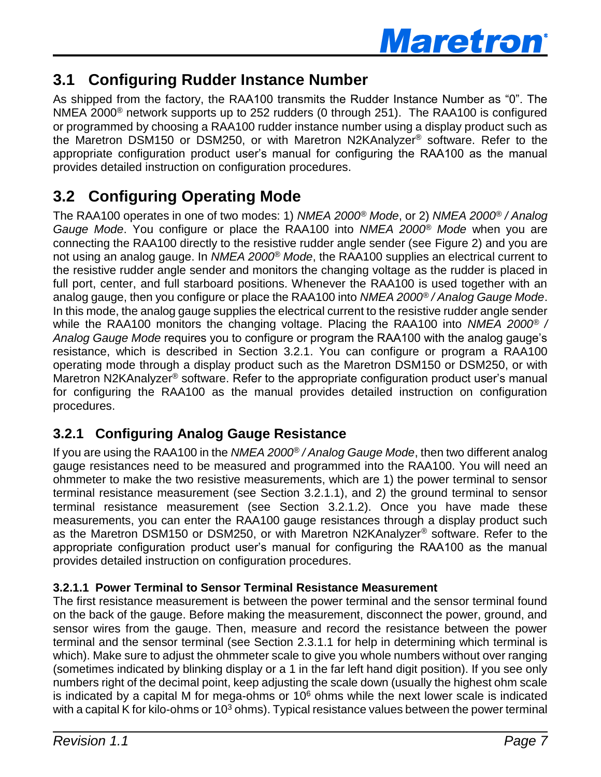

## <span id="page-10-0"></span>**3.1 Configuring Rudder Instance Number**

As shipped from the factory, the RAA100 transmits the Rudder Instance Number as "0". The NMEA 2000<sup>®</sup> network supports up to 252 rudders (0 through 251). The RAA100 is configured or programmed by choosing a RAA100 rudder instance number using a display product such as the Maretron DSM150 or DSM250, or with Maretron N2KAnalyzer® software. Refer to the appropriate configuration product user's manual for configuring the RAA100 as the manual provides detailed instruction on configuration procedures.

## <span id="page-10-1"></span>**3.2 Configuring Operating Mode**

The RAA100 operates in one of two modes: 1) *NMEA 2000® Mode*, or 2) *NMEA 2000® / Analog Gauge Mode*. You configure or place the RAA100 into *NMEA 2000® Mode* when you are connecting the RAA100 directly to the resistive rudder angle sender (see [Figure 2\)](#page-7-2) and you are not using an analog gauge. In *NMEA 2000® Mode*, the RAA100 supplies an electrical current to the resistive rudder angle sender and monitors the changing voltage as the rudder is placed in full port, center, and full starboard positions. Whenever the RAA100 is used together with an analog gauge, then you configure or place the RAA100 into *NMEA 2000® / Analog Gauge Mode*. In this mode, the analog gauge supplies the electrical current to the resistive rudder angle sender while the RAA100 monitors the changing voltage. Placing the RAA100 into *NMEA 2000® / Analog Gauge Mode* requires you to configure or program the RAA100 with the analog gauge's resistance, which is described in Section [3.2.1.](#page-10-2) You can configure or program a RAA100 operating mode through a display product such as the Maretron DSM150 or DSM250, or with Maretron N2KAnalyzer® software. Refer to the appropriate configuration product user's manual for configuring the RAA100 as the manual provides detailed instruction on configuration procedures.

#### <span id="page-10-2"></span>**3.2.1 Configuring Analog Gauge Resistance**

If you are using the RAA100 in the *NMEA 2000® / Analog Gauge Mode*, then two different analog gauge resistances need to be measured and programmed into the RAA100. You will need an ohmmeter to make the two resistive measurements, which are 1) the power terminal to sensor terminal resistance measurement (see Section [3.2.1.1\)](#page-10-3), and 2) the ground terminal to sensor terminal resistance measurement (see Section [3.2.1.2\)](#page-11-0). Once you have made these measurements, you can enter the RAA100 gauge resistances through a display product such as the Maretron DSM150 or DSM250, or with Maretron N2KAnalyzer® software. Refer to the appropriate configuration product user's manual for configuring the RAA100 as the manual provides detailed instruction on configuration procedures.

#### <span id="page-10-3"></span>**3.2.1.1 Power Terminal to Sensor Terminal Resistance Measurement**

The first resistance measurement is between the power terminal and the sensor terminal found on the back of the gauge. Before making the measurement, disconnect the power, ground, and sensor wires from the gauge. Then, measure and record the resistance between the power terminal and the sensor terminal (see Section [2.3.1.1](#page-8-0) for help in determining which terminal is which). Make sure to adjust the ohmmeter scale to give you whole numbers without over ranging (sometimes indicated by blinking display or a 1 in the far left hand digit position). If you see only numbers right of the decimal point, keep adjusting the scale down (usually the highest ohm scale is indicated by a capital M for mega-ohms or  $10<sup>6</sup>$  ohms while the next lower scale is indicated with a capital K for kilo-ohms or  $10<sup>3</sup>$  ohms). Typical resistance values between the power terminal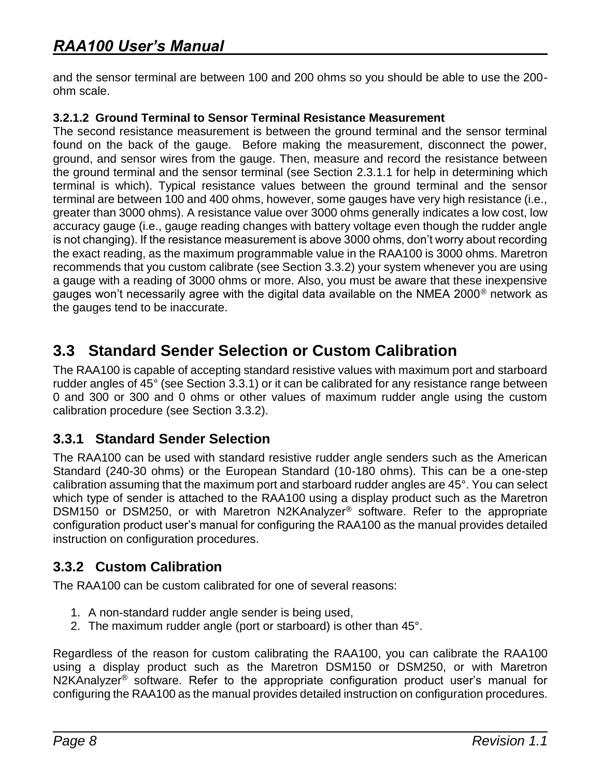and the sensor terminal are between 100 and 200 ohms so you should be able to use the 200 ohm scale.

#### <span id="page-11-0"></span>**3.2.1.2 Ground Terminal to Sensor Terminal Resistance Measurement**

The second resistance measurement is between the ground terminal and the sensor terminal found on the back of the gauge. Before making the measurement, disconnect the power, ground, and sensor wires from the gauge. Then, measure and record the resistance between the ground terminal and the sensor terminal (see Section [2.3.1.1](#page-8-0) for help in determining which terminal is which). Typical resistance values between the ground terminal and the sensor terminal are between 100 and 400 ohms, however, some gauges have very high resistance (i.e., greater than 3000 ohms). A resistance value over 3000 ohms generally indicates a low cost, low accuracy gauge (i.e., gauge reading changes with battery voltage even though the rudder angle is not changing). If the resistance measurement is above 3000 ohms, don't worry about recording the exact reading, as the maximum programmable value in the RAA100 is 3000 ohms. Maretron recommends that you custom calibrate (see Section [3.3.2\)](#page-11-3) your system whenever you are using a gauge with a reading of 3000 ohms or more. Also, you must be aware that these inexpensive gauges won't necessarily agree with the digital data available on the NMEA 2000® network as the gauges tend to be inaccurate.

## <span id="page-11-1"></span>**3.3 Standard Sender Selection or Custom Calibration**

The RAA100 is capable of accepting standard resistive values with maximum port and starboard rudder angles of 45° (see Section [3.3.1\)](#page-11-2) or it can be calibrated for any resistance range between 0 and 300 or 300 and 0 ohms or other values of maximum rudder angle using the custom calibration procedure (see Section [3.3.2\)](#page-11-3).

#### <span id="page-11-2"></span>**3.3.1 Standard Sender Selection**

The RAA100 can be used with standard resistive rudder angle senders such as the American Standard (240-30 ohms) or the European Standard (10-180 ohms). This can be a one-step calibration assuming that the maximum port and starboard rudder angles are 45°. You can select which type of sender is attached to the RAA100 using a display product such as the Maretron DSM150 or DSM250, or with Maretron N2KAnalyzer® software. Refer to the appropriate configuration product user's manual for configuring the RAA100 as the manual provides detailed instruction on configuration procedures.

#### <span id="page-11-3"></span>**3.3.2 Custom Calibration**

The RAA100 can be custom calibrated for one of several reasons:

- 1. A non-standard rudder angle sender is being used,
- 2. The maximum rudder angle (port or starboard) is other than 45°.

Regardless of the reason for custom calibrating the RAA100, you can calibrate the RAA100 using a display product such as the Maretron DSM150 or DSM250, or with Maretron N2KAnalyzer<sup>®</sup> software. Refer to the appropriate configuration product user's manual for configuring the RAA100 as the manual provides detailed instruction on configuration procedures.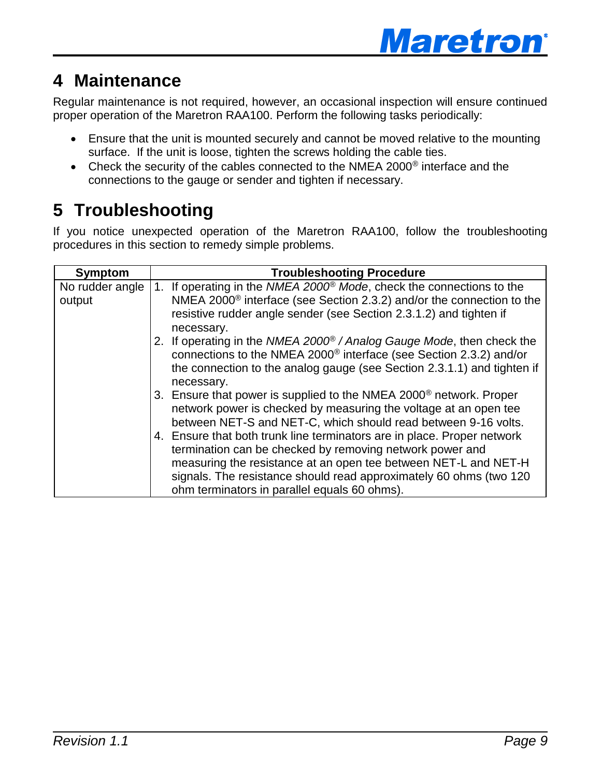

## <span id="page-12-0"></span>**4 Maintenance**

Regular maintenance is not required, however, an occasional inspection will ensure continued proper operation of the Maretron RAA100. Perform the following tasks periodically:

- Ensure that the unit is mounted securely and cannot be moved relative to the mounting surface. If the unit is loose, tighten the screws holding the cable ties.
- Check the security of the cables connected to the NMEA 2000<sup>®</sup> interface and the connections to the gauge or sender and tighten if necessary.

# <span id="page-12-1"></span>**5 Troubleshooting**

If you notice unexpected operation of the Maretron RAA100, follow the troubleshooting procedures in this section to remedy simple problems.

| <b>Symptom</b>  | <b>Troubleshooting Procedure</b>                                                                                                                                                                                                                                                                                             |
|-----------------|------------------------------------------------------------------------------------------------------------------------------------------------------------------------------------------------------------------------------------------------------------------------------------------------------------------------------|
| No rudder angle | 1. If operating in the NMEA 2000 <sup>®</sup> Mode, check the connections to the                                                                                                                                                                                                                                             |
| output          | NMEA 2000 <sup>®</sup> interface (see Section 2.3.2) and/or the connection to the<br>resistive rudder angle sender (see Section 2.3.1.2) and tighten if<br>necessary.                                                                                                                                                        |
|                 | 2. If operating in the NMEA 2000 <sup>®</sup> / Analog Gauge Mode, then check the<br>connections to the NMEA 2000 <sup>®</sup> interface (see Section 2.3.2) and/or<br>the connection to the analog gauge (see Section 2.3.1.1) and tighten if<br>necessary.                                                                 |
|                 | 3. Ensure that power is supplied to the NMEA 2000 <sup>®</sup> network. Proper<br>network power is checked by measuring the voltage at an open tee<br>between NET-S and NET-C, which should read between 9-16 volts.                                                                                                         |
|                 | 4. Ensure that both trunk line terminators are in place. Proper network<br>termination can be checked by removing network power and<br>measuring the resistance at an open tee between NET-L and NET-H<br>signals. The resistance should read approximately 60 ohms (two 120<br>ohm terminators in parallel equals 60 ohms). |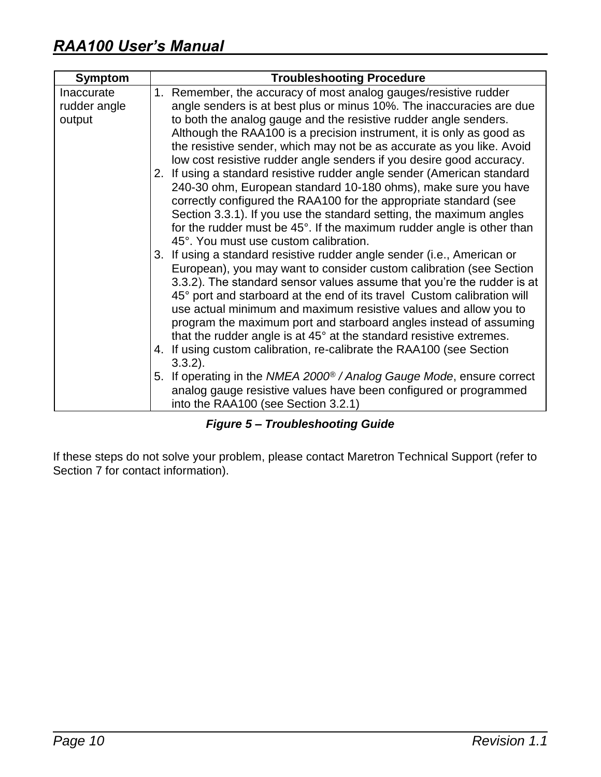| <b>Symptom</b> | <b>Troubleshooting Procedure</b>                                                                                                                  |
|----------------|---------------------------------------------------------------------------------------------------------------------------------------------------|
| Inaccurate     | 1. Remember, the accuracy of most analog gauges/resistive rudder                                                                                  |
| rudder angle   | angle senders is at best plus or minus 10%. The inaccuracies are due                                                                              |
| output         | to both the analog gauge and the resistive rudder angle senders.                                                                                  |
|                | Although the RAA100 is a precision instrument, it is only as good as                                                                              |
|                | the resistive sender, which may not be as accurate as you like. Avoid                                                                             |
|                | low cost resistive rudder angle senders if you desire good accuracy.                                                                              |
|                | 2. If using a standard resistive rudder angle sender (American standard                                                                           |
|                | 240-30 ohm, European standard 10-180 ohms), make sure you have                                                                                    |
|                | correctly configured the RAA100 for the appropriate standard (see                                                                                 |
|                | Section 3.3.1). If you use the standard setting, the maximum angles                                                                               |
|                | for the rudder must be 45°. If the maximum rudder angle is other than                                                                             |
|                | 45°. You must use custom calibration.                                                                                                             |
|                | 3. If using a standard resistive rudder angle sender (i.e., American or                                                                           |
|                | European), you may want to consider custom calibration (see Section                                                                               |
|                | 3.3.2). The standard sensor values assume that you're the rudder is at<br>45° port and starboard at the end of its travel Custom calibration will |
|                | use actual minimum and maximum resistive values and allow you to                                                                                  |
|                | program the maximum port and starboard angles instead of assuming                                                                                 |
|                | that the rudder angle is at 45° at the standard resistive extremes.                                                                               |
|                | 4. If using custom calibration, re-calibrate the RAA100 (see Section                                                                              |
|                | $3.3.2$ ).                                                                                                                                        |
|                | 5. If operating in the NMEA 2000 <sup>®</sup> / Analog Gauge Mode, ensure correct                                                                 |
|                | analog gauge resistive values have been configured or programmed                                                                                  |
|                | into the RAA100 (see Section 3.2.1)                                                                                                               |

*Figure 5 – Troubleshooting Guide*

<span id="page-13-0"></span>If these steps do not solve your problem, please contact Maretron Technical Support (refer to Section [7](#page-15-0) for contact information).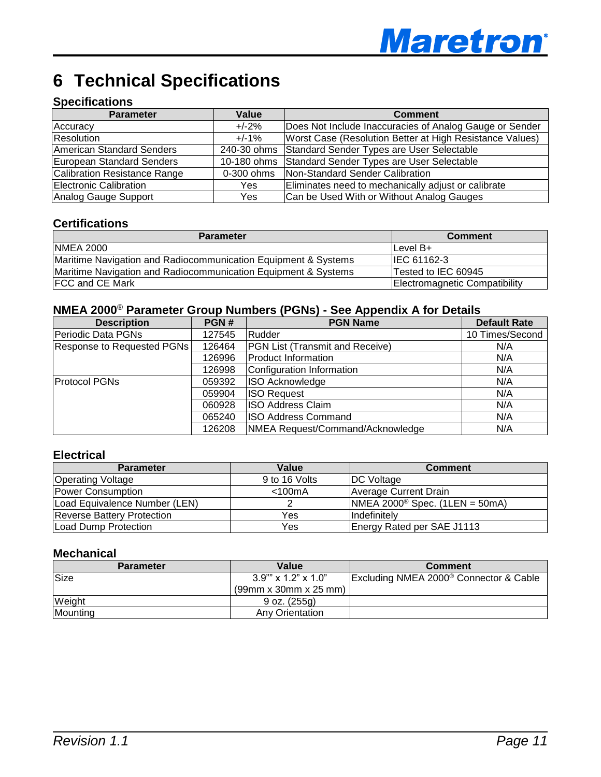

# <span id="page-14-0"></span>**6 Technical Specifications**

#### **Specifications**

| <b>Parameter</b>             | Value       | <b>Comment</b>                                           |
|------------------------------|-------------|----------------------------------------------------------|
| Accuracy                     | $+/-2%$     | Does Not Include Inaccuracies of Analog Gauge or Sender  |
| <b>Resolution</b>            | $+/-1%$     | Worst Case (Resolution Better at High Resistance Values) |
| American Standard Senders    | 240-30 ohms | Standard Sender Types are User Selectable                |
| European Standard Senders    | 10-180 ohms | Standard Sender Types are User Selectable                |
| Calibration Resistance Range | 0-300 ohms  | Non-Standard Sender Calibration                          |
| Electronic Calibration       | Yes.        | Eliminates need to mechanically adjust or calibrate      |
| Analog Gauge Support         | Yes.        | Can be Used With or Without Analog Gauges                |

#### **Certifications**

| <b>Parameter</b>                                               | <b>Comment</b>                |
|----------------------------------------------------------------|-------------------------------|
| <b>INMEA 2000</b>                                              | Level B+                      |
| Maritime Navigation and Radiocommunication Equipment & Systems | IEC 61162-3                   |
| Maritime Navigation and Radiocommunication Equipment & Systems | Tested to IEC 60945           |
| <b>FCC and CE Mark</b>                                         | Electromagnetic Compatibility |

## **NMEA 2000**® **Parameter Group Numbers (PGNs) - See Appendix A for Details**

| <b>Description</b>         | PGN#   | <b>PGN Name</b>                        | <b>Default Rate</b> |
|----------------------------|--------|----------------------------------------|---------------------|
| Periodic Data PGNs         | 127545 | Rudder                                 | 10 Times/Second     |
| Response to Requested PGNs | 126464 | <b>PGN List (Transmit and Receive)</b> | N/A                 |
|                            | 126996 | <b>Product Information</b>             | N/A                 |
|                            | 126998 | Configuration Information              | N/A                 |
| <b>Protocol PGNs</b>       | 059392 | <b>ISO Acknowledge</b>                 | N/A                 |
|                            | 059904 | <b>ISO Request</b>                     | N/A                 |
|                            | 060928 | <b>ISO Address Claim</b>               | N/A                 |
|                            | 065240 | <b>ISO Address Command</b>             | N/A                 |
|                            | 126208 | NMEA Request/Command/Acknowledge       | N/A                 |

#### **Electrical**

| <b>Parameter</b>                  | Value         | <b>Comment</b>                          |
|-----------------------------------|---------------|-----------------------------------------|
| <b>Operating Voltage</b>          | 9 to 16 Volts | <b>DC</b> Voltage                       |
| Power Consumption                 | $<$ 100 $mA$  | Average Current Drain                   |
| Load Equivalence Number (LEN)     |               | $NMEA 2000^{\circ}$ Spec. (1LEN = 50mA) |
| <b>Reverse Battery Protection</b> | Yes           | <b>Indefinitely</b>                     |
| Load Dump Protection              | Yes           | Energy Rated per SAE J1113              |

#### **Mechanical**

| <b>Parameter</b> | Value                            | <b>Comment</b>                                     |
|------------------|----------------------------------|----------------------------------------------------|
| Size             | $3.9'''$ x 1.2" x 1.0"           | Excluding NMEA 2000 <sup>®</sup> Connector & Cable |
|                  | $(99mm \times 30mm \times 25mm)$ |                                                    |
| Weight           | $9$ oz. $(255g)$                 |                                                    |
| Mounting         | Any Orientation                  |                                                    |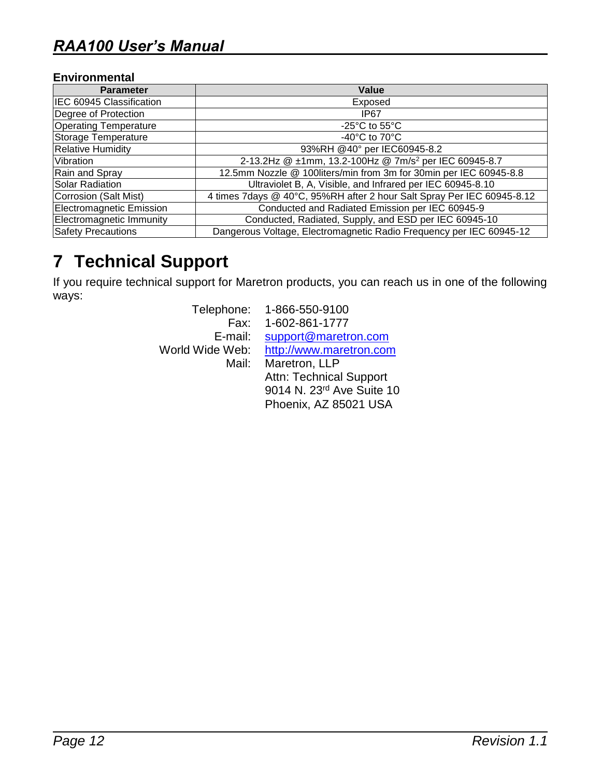#### **Environmental**

| <b>Parameter</b>             | Value                                                                  |
|------------------------------|------------------------------------------------------------------------|
| IEC 60945 Classification     | Exposed                                                                |
| Degree of Protection         | IP <sub>67</sub>                                                       |
| <b>Operating Temperature</b> | $-25^{\circ}$ C to 55 $^{\circ}$ C                                     |
| Storage Temperature          | -40 $^{\circ}$ C to 70 $^{\circ}$ C                                    |
| <b>Relative Humidity</b>     | 93%RH @40° per IEC60945-8.2                                            |
| Vibration                    | 2-13.2Hz @ ±1mm, 13.2-100Hz @ 7m/s <sup>2</sup> per IEC 60945-8.7      |
| Rain and Spray               | 12.5mm Nozzle @ 100liters/min from 3m for 30min per IEC 60945-8.8      |
| Solar Radiation              | Ultraviolet B, A, Visible, and Infrared per IEC 60945-8.10             |
| Corrosion (Salt Mist)        | 4 times 7days @ 40°C, 95%RH after 2 hour Salt Spray Per IEC 60945-8.12 |
| Electromagnetic Emission     | Conducted and Radiated Emission per IEC 60945-9                        |
| Electromagnetic Immunity     | Conducted, Radiated, Supply, and ESD per IEC 60945-10                  |
| <b>Safety Precautions</b>    | Dangerous Voltage, Electromagnetic Radio Frequency per IEC 60945-12    |

# <span id="page-15-0"></span>**7 Technical Support**

If you require technical support for Maretron products, you can reach us in one of the following ways:

| Telephone:      | 1-866-550-9100                 |
|-----------------|--------------------------------|
| Fax:            | 1-602-861-1777                 |
| E-mail:         | support@maretron.com           |
| World Wide Web: | http://www.maretron.com        |
| Mail:           | Maretron, LLP                  |
|                 | <b>Attn: Technical Support</b> |
|                 | 9014 N. 23rd Ave Suite 10      |
|                 | Phoenix, AZ 85021 USA          |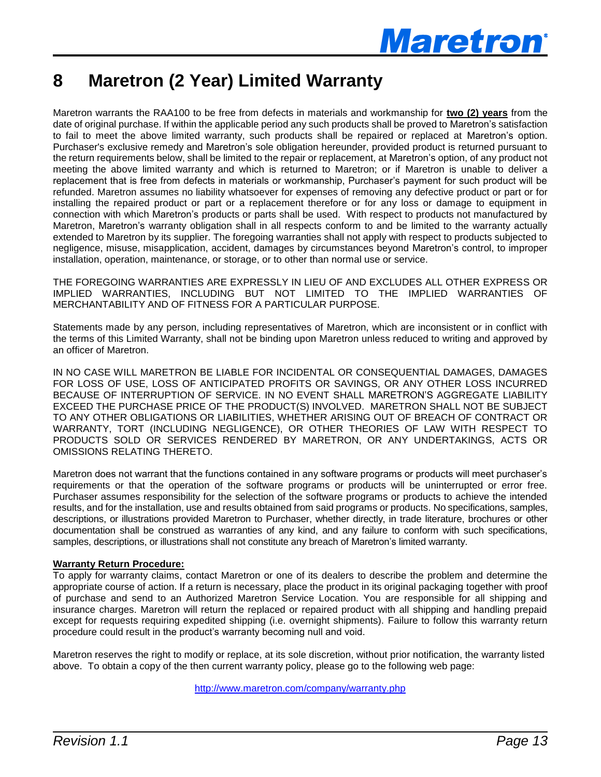

## <span id="page-16-0"></span>**8 Maretron (2 Year) Limited Warranty**

Maretron warrants the RAA100 to be free from defects in materials and workmanship for **two (2) years** from the date of original purchase. If within the applicable period any such products shall be proved to Maretron's satisfaction to fail to meet the above limited warranty, such products shall be repaired or replaced at Maretron's option. Purchaser's exclusive remedy and Maretron's sole obligation hereunder, provided product is returned pursuant to the return requirements below, shall be limited to the repair or replacement, at Maretron's option, of any product not meeting the above limited warranty and which is returned to Maretron; or if Maretron is unable to deliver a replacement that is free from defects in materials or workmanship, Purchaser's payment for such product will be refunded. Maretron assumes no liability whatsoever for expenses of removing any defective product or part or for installing the repaired product or part or a replacement therefore or for any loss or damage to equipment in connection with which Maretron's products or parts shall be used. With respect to products not manufactured by Maretron, Maretron's warranty obligation shall in all respects conform to and be limited to the warranty actually extended to Maretron by its supplier. The foregoing warranties shall not apply with respect to products subjected to negligence, misuse, misapplication, accident, damages by circumstances beyond Maretron's control, to improper installation, operation, maintenance, or storage, or to other than normal use or service.

THE FOREGOING WARRANTIES ARE EXPRESSLY IN LIEU OF AND EXCLUDES ALL OTHER EXPRESS OR IMPLIED WARRANTIES, INCLUDING BUT NOT LIMITED TO THE IMPLIED WARRANTIES OF MERCHANTABILITY AND OF FITNESS FOR A PARTICULAR PURPOSE.

Statements made by any person, including representatives of Maretron, which are inconsistent or in conflict with the terms of this Limited Warranty, shall not be binding upon Maretron unless reduced to writing and approved by an officer of Maretron.

IN NO CASE WILL MARETRON BE LIABLE FOR INCIDENTAL OR CONSEQUENTIAL DAMAGES, DAMAGES FOR LOSS OF USE, LOSS OF ANTICIPATED PROFITS OR SAVINGS, OR ANY OTHER LOSS INCURRED BECAUSE OF INTERRUPTION OF SERVICE. IN NO EVENT SHALL MARETRON'S AGGREGATE LIABILITY EXCEED THE PURCHASE PRICE OF THE PRODUCT(S) INVOLVED. MARETRON SHALL NOT BE SUBJECT TO ANY OTHER OBLIGATIONS OR LIABILITIES, WHETHER ARISING OUT OF BREACH OF CONTRACT OR WARRANTY, TORT (INCLUDING NEGLIGENCE), OR OTHER THEORIES OF LAW WITH RESPECT TO PRODUCTS SOLD OR SERVICES RENDERED BY MARETRON, OR ANY UNDERTAKINGS, ACTS OR OMISSIONS RELATING THERETO.

Maretron does not warrant that the functions contained in any software programs or products will meet purchaser's requirements or that the operation of the software programs or products will be uninterrupted or error free. Purchaser assumes responsibility for the selection of the software programs or products to achieve the intended results, and for the installation, use and results obtained from said programs or products. No specifications, samples, descriptions, or illustrations provided Maretron to Purchaser, whether directly, in trade literature, brochures or other documentation shall be construed as warranties of any kind, and any failure to conform with such specifications, samples, descriptions, or illustrations shall not constitute any breach of Maretron's limited warranty.

#### **Warranty Return Procedure:**

To apply for warranty claims, contact Maretron or one of its dealers to describe the problem and determine the appropriate course of action. If a return is necessary, place the product in its original packaging together with proof of purchase and send to an Authorized Maretron Service Location. You are responsible for all shipping and insurance charges. Maretron will return the replaced or repaired product with all shipping and handling prepaid except for requests requiring expedited shipping (i.e. overnight shipments). Failure to follow this warranty return procedure could result in the product's warranty becoming null and void.

Maretron reserves the right to modify or replace, at its sole discretion, without prior notification, the warranty listed above. To obtain a copy of the then current warranty policy, please go to the following web page:

<http://www.maretron.com/company/warranty.php>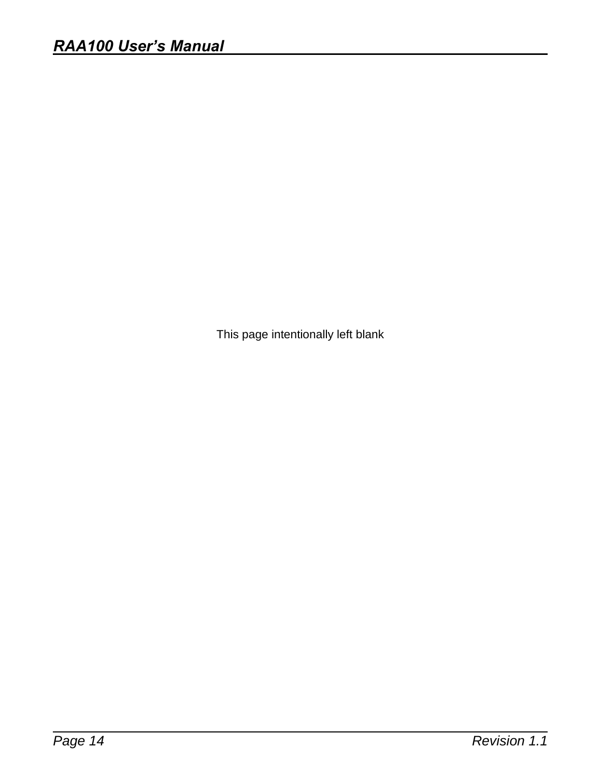This page intentionally left blank